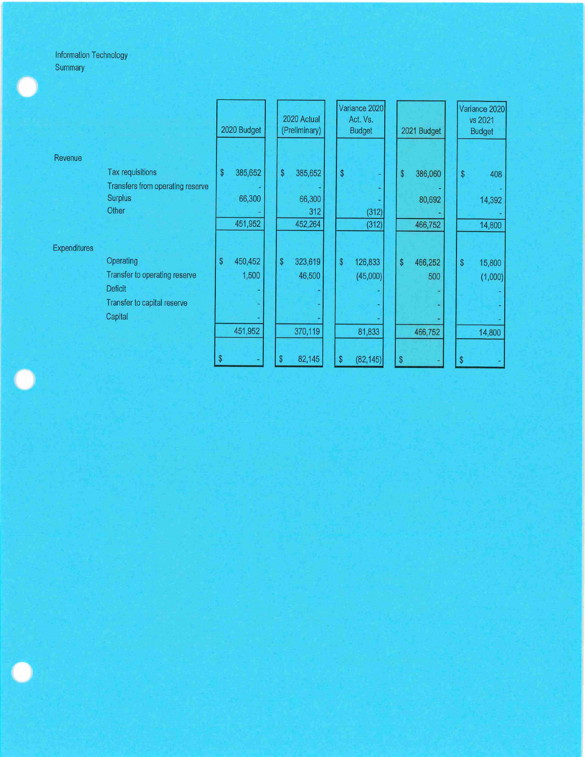## Information Technology Summary

|                     |                                  | 2020 Budget             |         | 2020 Actual<br>(Preliminary) |         | Variance 2020<br>Act. Vs.<br><b>Budget</b> |           | 2021 Budget  |         | Variance 2020<br>vs 2021<br><b>Budget</b>         |         |
|---------------------|----------------------------------|-------------------------|---------|------------------------------|---------|--------------------------------------------|-----------|--------------|---------|---------------------------------------------------|---------|
| Revenue             |                                  |                         |         |                              |         |                                            |           |              |         |                                                   |         |
|                     | Tax requisitions                 | $\sqrt[6]{\frac{1}{2}}$ | 385,652 | \$                           | 385,652 | $\boldsymbol{\$}$                          |           | \$           | 386,060 | $\, \, \raisebox{-1.5pt}{\text{\circle*{1.5}}}\,$ | 408     |
|                     | Transfers from operating reserve |                         |         |                              |         |                                            |           |              |         |                                                   |         |
|                     | <b>Surplus</b>                   |                         | 66,300  |                              | 66,300  |                                            |           |              | 80,692  |                                                   | 14,392  |
|                     | Other                            |                         |         |                              | 312     |                                            | (312)     |              |         |                                                   |         |
|                     |                                  |                         | 451,952 |                              | 452,264 |                                            | (312)     |              | 466,752 |                                                   | 14,800  |
| <b>Expenditures</b> |                                  |                         |         |                              |         |                                            |           |              |         |                                                   |         |
|                     | Operating                        | \$                      | 450,452 | \$                           | 323,619 | \$                                         | 126,833   | \$           | 466,252 | \$                                                | 15,800  |
|                     | Transfer to operating reserve    |                         | 1,500   |                              | 46,500  |                                            | (45,000)  |              | 500     |                                                   | (1,000) |
|                     | <b>Deficit</b>                   |                         |         |                              |         |                                            |           |              |         |                                                   |         |
|                     | Transfer to capital reserve      |                         |         |                              |         |                                            |           |              |         |                                                   |         |
|                     | Capital                          |                         |         |                              |         |                                            |           |              |         |                                                   |         |
|                     |                                  |                         | 451,952 |                              | 370,119 |                                            | 81,833    |              | 466,752 |                                                   | 14,800  |
|                     |                                  |                         |         | \$                           | 82,145  | \$                                         | (82, 145) | $\mathbb{S}$ |         | \$                                                |         |